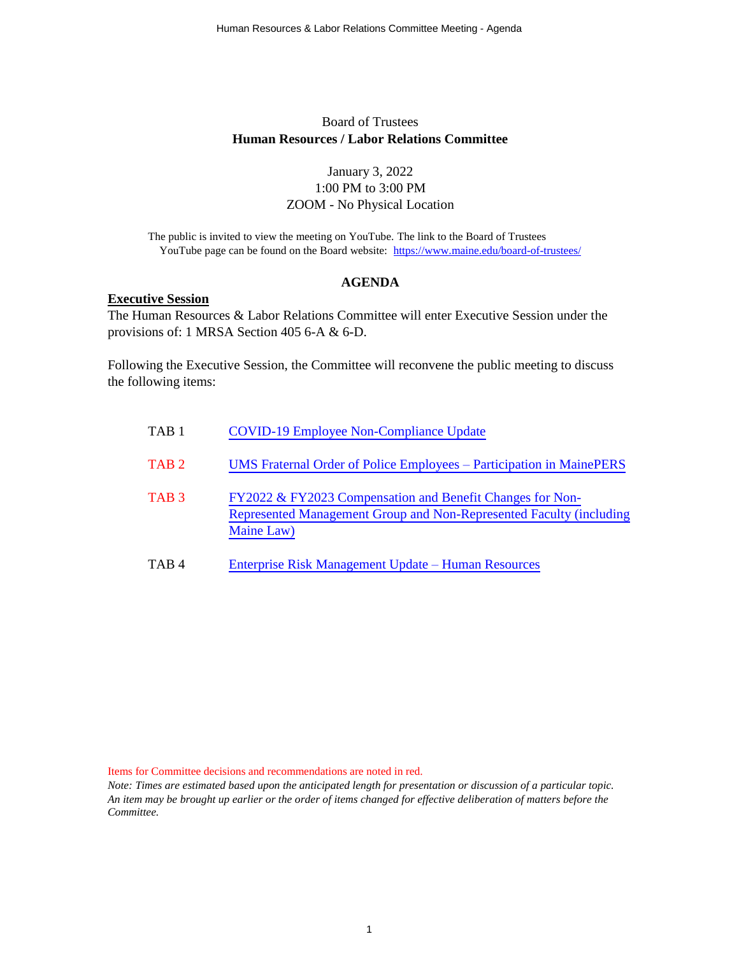#### Board of Trustees **Human Resources / Labor Relations Committee**

#### January 3, 2022 1:00 PM to 3:00 PM ZOOM - No Physical Location

The public is invited to view the meeting on YouTube. The link to the Board of Trustees YouTube page can be found on the Board website: <https://www.maine.edu/board-of-trustees/>

#### **AGENDA**

#### **Executive Session**

The Human Resources & Labor Relations Committee will enter Executive Session under the provisions of: 1 MRSA Section 405 6-A & 6-D.

Following the Executive Session, the Committee will reconvene the public meeting to discuss the following items:

| TAB <sub>1</sub> | <b>COVID-19 Employee Non-Compliance Update</b>                                                                                                 |
|------------------|------------------------------------------------------------------------------------------------------------------------------------------------|
| TAB <sub>2</sub> | UMS Fraternal Order of Police Employees – Participation in MainePERS                                                                           |
| TAB <sub>3</sub> | FY2022 & FY2023 Compensation and Benefit Changes for Non-<br>Represented Management Group and Non-Represented Faculty (including<br>Maine Law) |
| TAB4             | Enterprise Risk Management Update – Human Resources                                                                                            |

Items for Committee decisions and recommendations are noted in red.

*Note: Times are estimated based upon the anticipated length for presentation or discussion of a particular topic. An item may be brought up earlier or the order of items changed for effective deliberation of matters before the Committee.*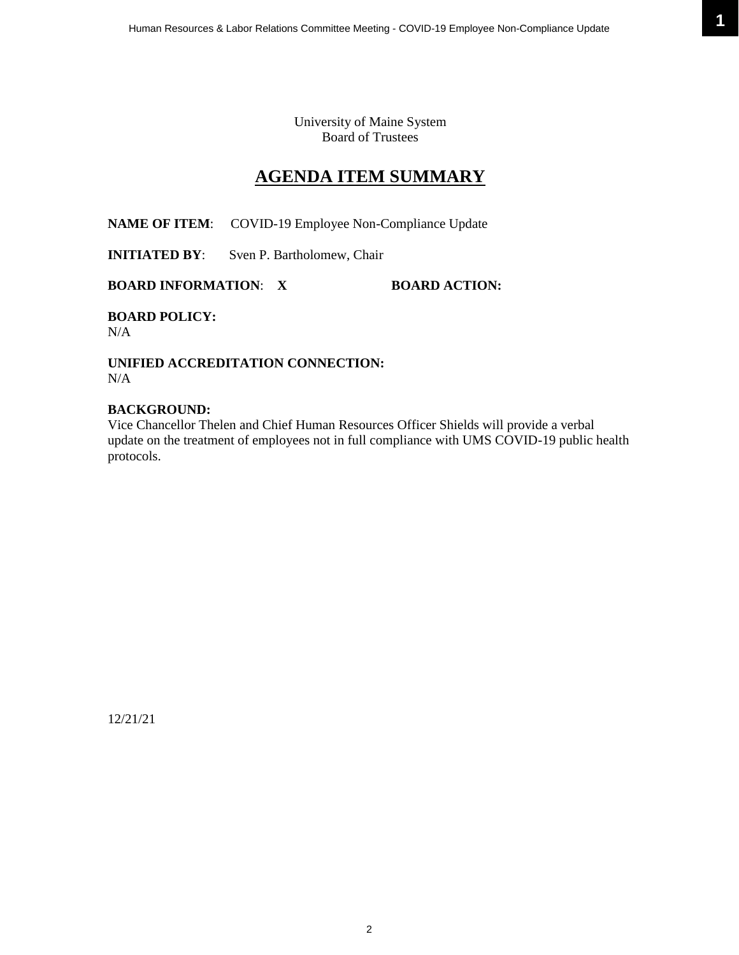University of Maine System Board of Trustees

### **AGENDA ITEM SUMMARY**

<span id="page-1-0"></span>**NAME OF ITEM**: COVID-19 Employee Non-Compliance Update

**INITIATED BY:** Sven P. Bartholomew, Chair

**BOARD INFORMATION: X BOARD ACTION:** 

**BOARD POLICY:** N/A

**UNIFIED ACCREDITATION CONNECTION:** N/A

#### **BACKGROUND:**

Vice Chancellor Thelen and Chief Human Resources Officer Shields will provide a verbal update on the treatment of employees not in full compliance with UMS COVID-19 public health protocols.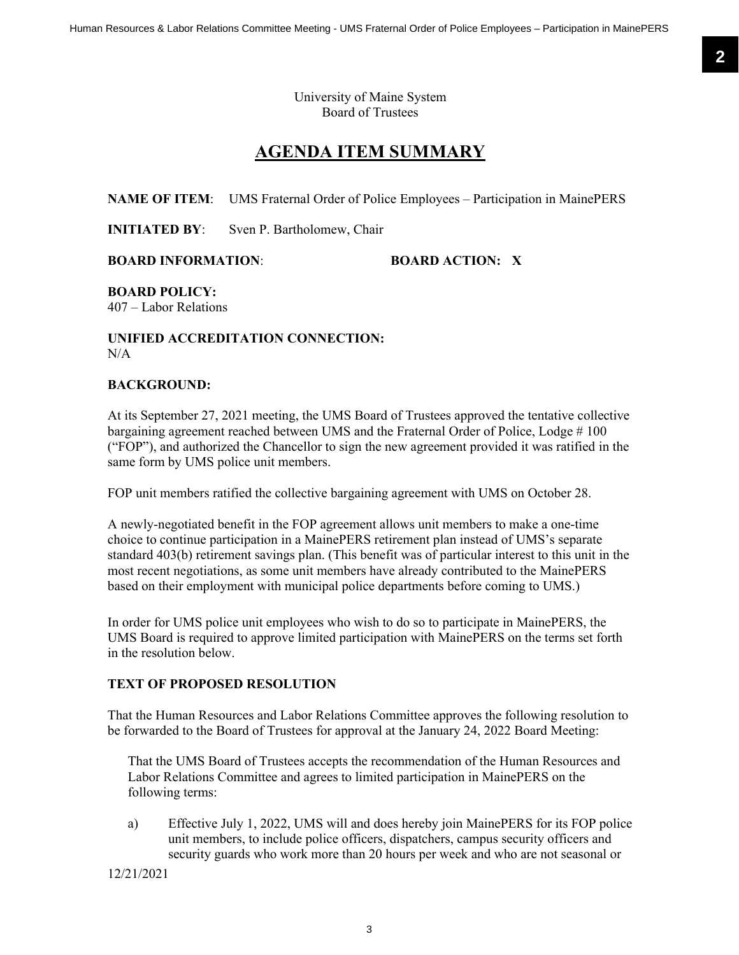University of Maine System Board of Trustees

## **AGENDA ITEM SUMMARY**

<span id="page-2-0"></span>**NAME OF ITEM**: UMS Fraternal Order of Police Employees – Participation in MainePERS

**INITIATED BY:** Sven P. Bartholomew, Chair

**BOARD INFORMATION**: **BOARD ACTION: X**

**BOARD POLICY:**

407 – Labor Relations

#### **UNIFIED ACCREDITATION CONNECTION:**  $N/A$

#### **BACKGROUND:**

At its September 27, 2021 meeting, the UMS Board of Trustees approved the tentative collective bargaining agreement reached between UMS and the Fraternal Order of Police, Lodge # 100 ("FOP"), and authorized the Chancellor to sign the new agreement provided it was ratified in the same form by UMS police unit members.

FOP unit members ratified the collective bargaining agreement with UMS on October 28.

A newly-negotiated benefit in the FOP agreement allows unit members to make a one-time choice to continue participation in a MainePERS retirement plan instead of UMS's separate standard 403(b) retirement savings plan. (This benefit was of particular interest to this unit in the most recent negotiations, as some unit members have already contributed to the MainePERS based on their employment with municipal police departments before coming to UMS.)

In order for UMS police unit employees who wish to do so to participate in MainePERS, the UMS Board is required to approve limited participation with MainePERS on the terms set forth in the resolution below.

#### **TEXT OF PROPOSED RESOLUTION**

That the Human Resources and Labor Relations Committee approves the following resolution to be forwarded to the Board of Trustees for approval at the January 24, 2022 Board Meeting:

That the UMS Board of Trustees accepts the recommendation of the Human Resources and Labor Relations Committee and agrees to limited participation in MainePERS on the following terms:

a) Effective July 1, 2022, UMS will and does hereby join MainePERS for its FOP police unit members, to include police officers, dispatchers, campus security officers and security guards who work more than 20 hours per week and who are not seasonal or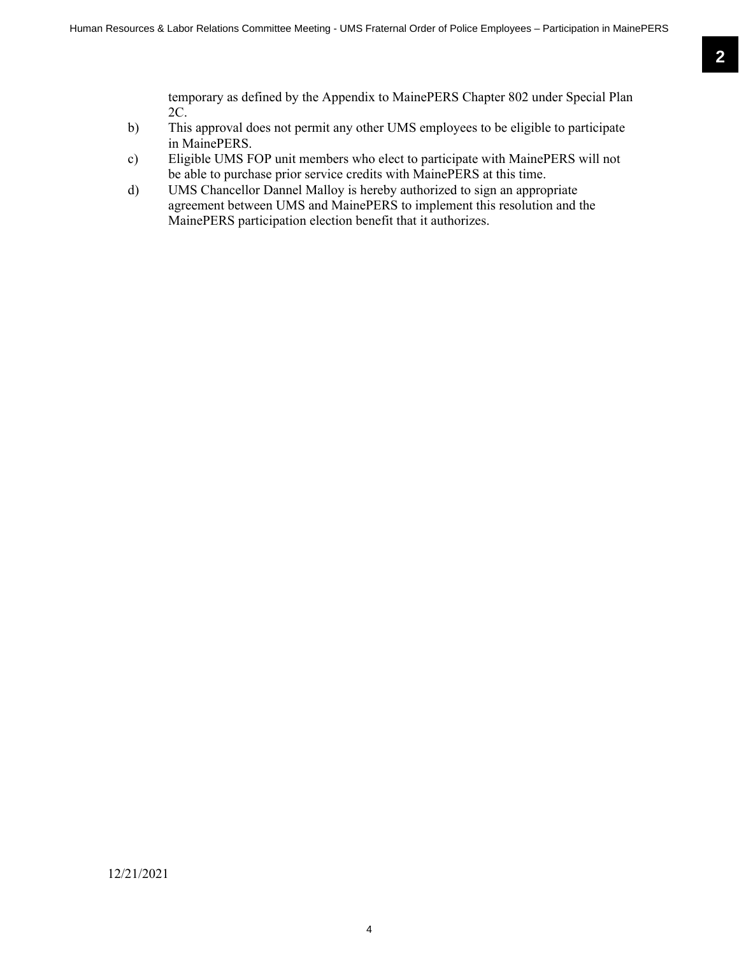temporary as defined by the Appendix to MainePERS Chapter 802 under Special Plan 2C.

- b) This approval does not permit any other UMS employees to be eligible to participate in MainePERS.
- c) Eligible UMS FOP unit members who elect to participate with MainePERS will not be able to purchase prior service credits with MainePERS at this time.
- d) UMS Chancellor Dannel Malloy is hereby authorized to sign an appropriate agreement between UMS and MainePERS to implement this resolution and the MainePERS participation election benefit that it authorizes.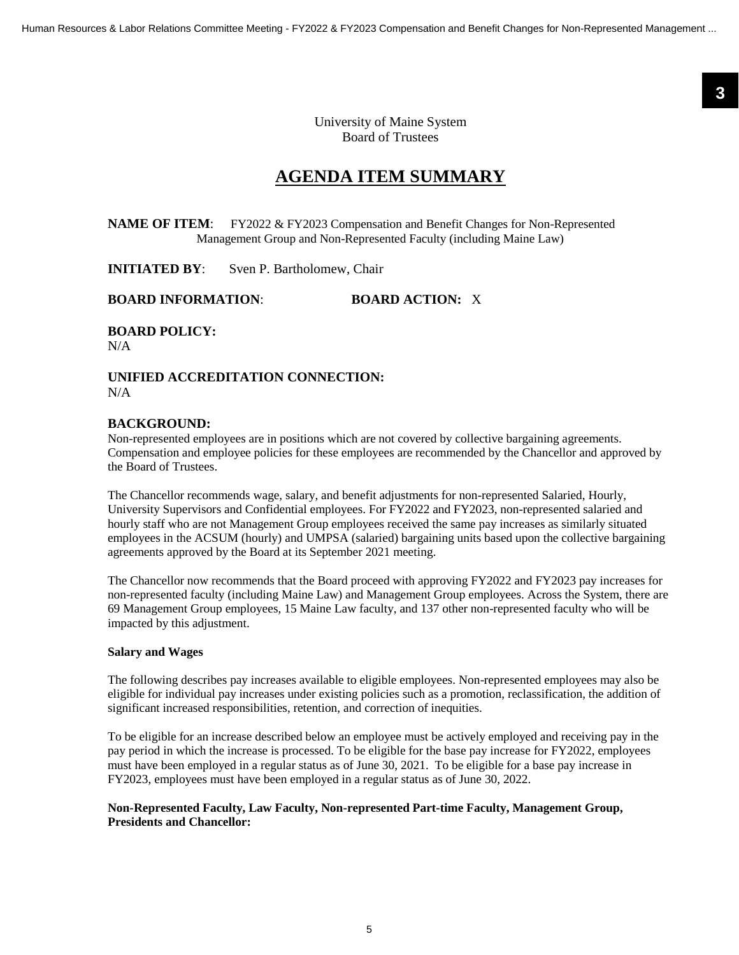**3**

University of Maine System Board of Trustees

### **AGENDA ITEM SUMMARY**

<span id="page-4-0"></span>**NAME OF ITEM:** FY2022 & FY2023 Compensation and Benefit Changes for Non-Represented Management Group and Non-Represented Faculty (including Maine Law)

**INITIATED BY:** Sven P. Bartholomew, Chair

#### **BOARD INFORMATION**: **BOARD ACTION:** X

**BOARD POLICY:**

N/A

**UNIFIED ACCREDITATION CONNECTION:** N/A

#### **BACKGROUND:**

Non-represented employees are in positions which are not covered by collective bargaining agreements. Compensation and employee policies for these employees are recommended by the Chancellor and approved by the Board of Trustees.

The Chancellor recommends wage, salary, and benefit adjustments for non-represented Salaried, Hourly, University Supervisors and Confidential employees. For FY2022 and FY2023, non-represented salaried and hourly staff who are not Management Group employees received the same pay increases as similarly situated employees in the ACSUM (hourly) and UMPSA (salaried) bargaining units based upon the collective bargaining agreements approved by the Board at its September 2021 meeting.

The Chancellor now recommends that the Board proceed with approving FY2022 and FY2023 pay increases for non-represented faculty (including Maine Law) and Management Group employees. Across the System, there are 69 Management Group employees, 15 Maine Law faculty, and 137 other non-represented faculty who will be impacted by this adjustment.

#### **Salary and Wages**

The following describes pay increases available to eligible employees. Non-represented employees may also be eligible for individual pay increases under existing policies such as a promotion, reclassification, the addition of significant increased responsibilities, retention, and correction of inequities.

To be eligible for an increase described below an employee must be actively employed and receiving pay in the pay period in which the increase is processed. To be eligible for the base pay increase for FY2022, employees must have been employed in a regular status as of June 30, 2021. To be eligible for a base pay increase in FY2023, employees must have been employed in a regular status as of June 30, 2022.

#### **Non-Represented Faculty, Law Faculty, Non-represented Part-time Faculty, Management Group, Presidents and Chancellor:**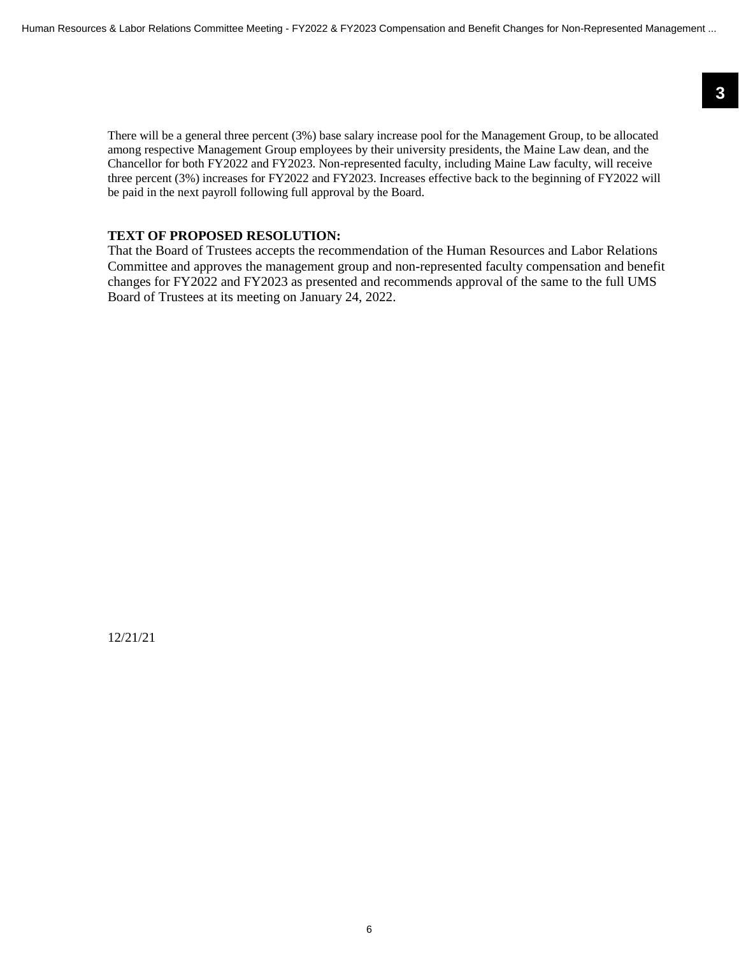There will be a general three percent (3%) base salary increase pool for the Management Group, to be allocated among respective Management Group employees by their university presidents, the Maine Law dean, and the Chancellor for both FY2022 and FY2023. Non-represented faculty, including Maine Law faculty, will receive three percent (3%) increases for FY2022 and FY2023. Increases effective back to the beginning of FY2022 will be paid in the next payroll following full approval by the Board.

#### **TEXT OF PROPOSED RESOLUTION:**

That the Board of Trustees accepts the recommendation of the Human Resources and Labor Relations Committee and approves the management group and non-represented faculty compensation and benefit changes for FY2022 and FY2023 as presented and recommends approval of the same to the full UMS Board of Trustees at its meeting on January 24, 2022.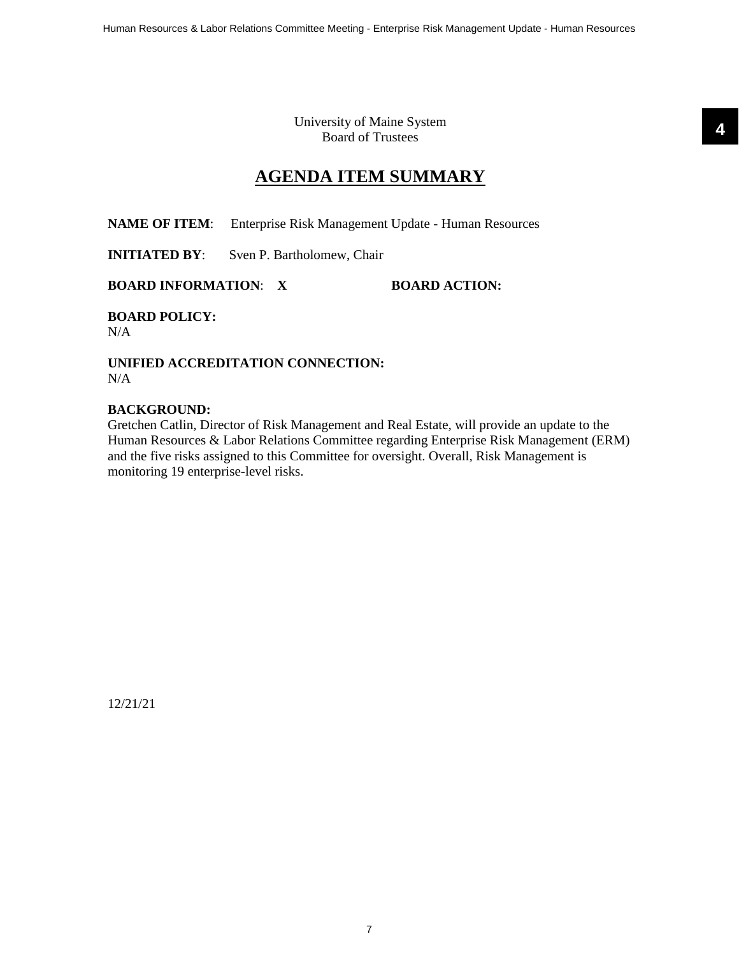University of Maine System Board of Trustees

### **AGENDA ITEM SUMMARY**

<span id="page-6-0"></span>**NAME OF ITEM:** Enterprise Risk Management Update - Human Resources

**INITIATED BY:** Sven P. Bartholomew, Chair

**BOARD INFORMATION: X BOARD ACTION:** 

**BOARD POLICY:** N/A

**UNIFIED ACCREDITATION CONNECTION:** N/A

#### **BACKGROUND:**

Gretchen Catlin, Director of Risk Management and Real Estate, will provide an update to the Human Resources & Labor Relations Committee regarding Enterprise Risk Management (ERM) and the five risks assigned to this Committee for oversight. Overall, Risk Management is monitoring 19 enterprise-level risks.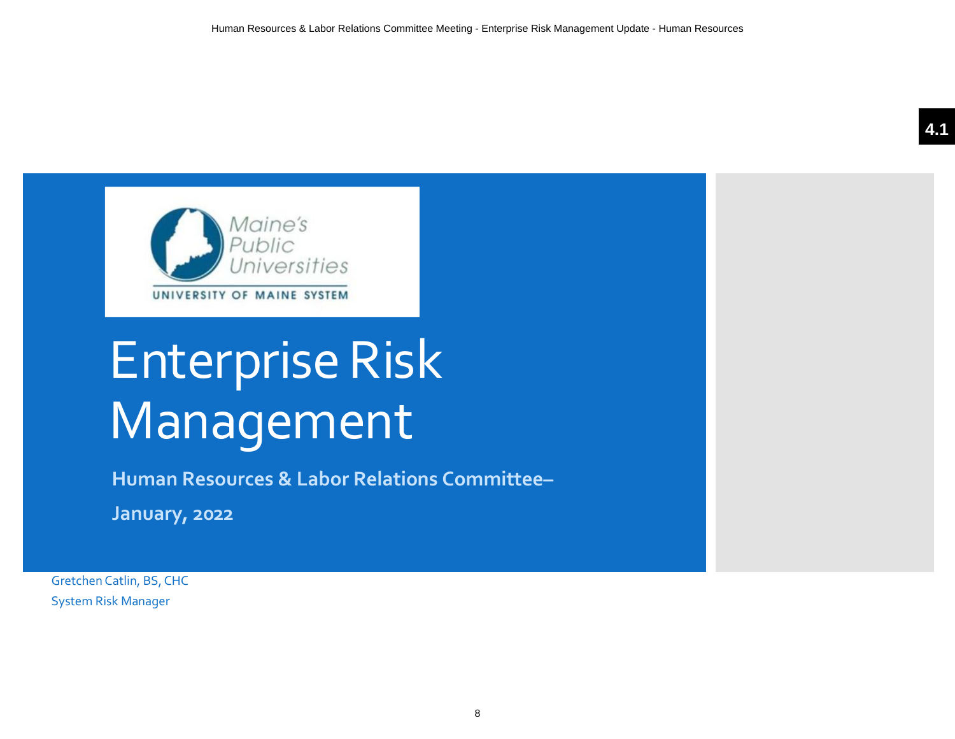

# Enterprise Risk Management

**Human Resources & Labor Relations Committee–**

**January, 2022**

Gretchen Catlin, BS, CHC System Risk Manager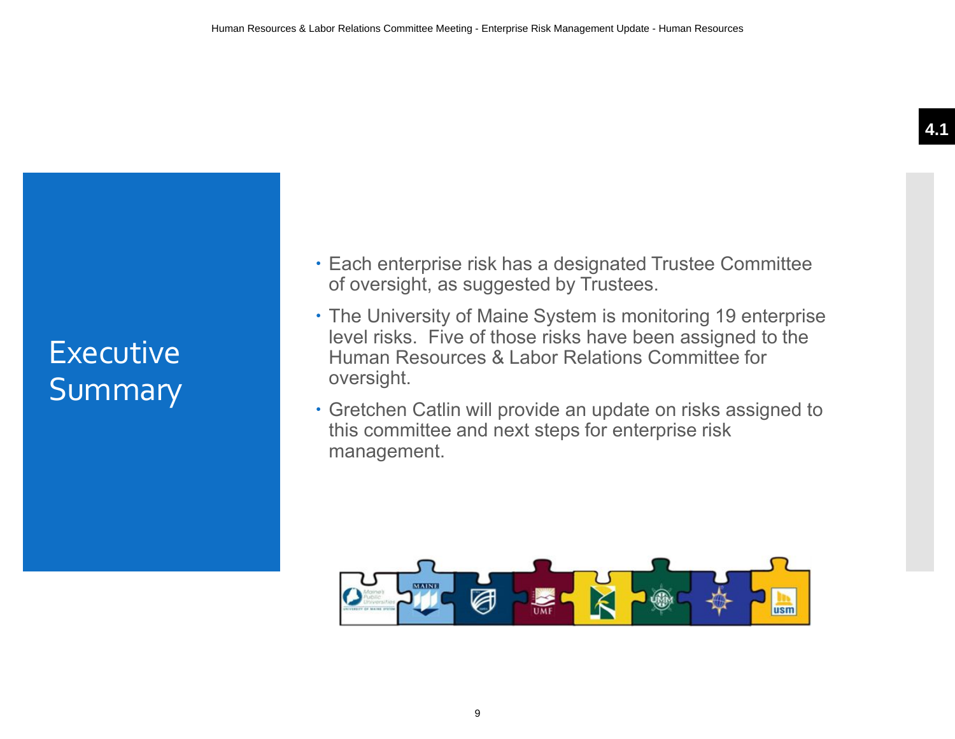# **Executive** Summary

- **Each enterprise risk has a designated Trustee Committee** of oversight, as suggested by Trustees.
- The University of Maine System is monitoring 19 enterprise level risks. Five of those risks have been assigned to the Human Resources & Labor Relations Committee for oversight.
- Gretchen Catlin will provide an update on risks assigned to this committee and next steps for enterprise risk management.

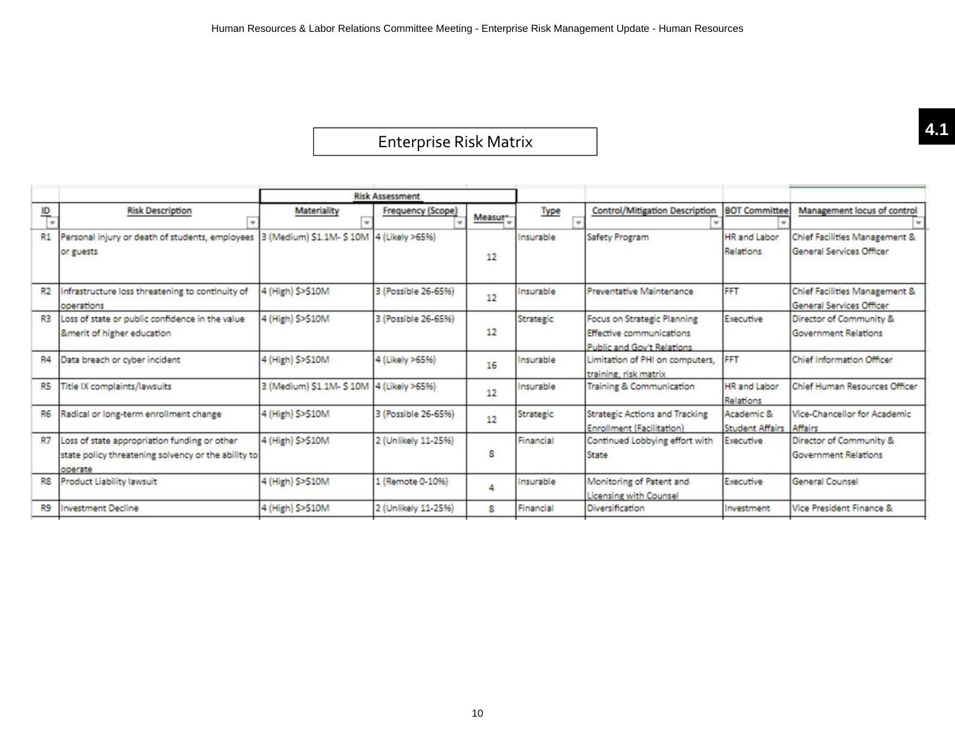# Enterprise Risk Matrix **4.1**

|                |                                                                                                                |                                          | <b>Risk Assessment</b> |         |           |                                                                                       |                                       |                                                           |
|----------------|----------------------------------------------------------------------------------------------------------------|------------------------------------------|------------------------|---------|-----------|---------------------------------------------------------------------------------------|---------------------------------------|-----------------------------------------------------------|
| $\frac{1}{2}$  | <b>Risk Description</b>                                                                                        | Materiality                              | Frequency (Scope)      | Measur- | Type      | Control/Mitigation Description                                                        | <b>BOT Committee</b>                  | Management locus of control                               |
| R1             | Personal injury or death of students, employees  3 (Medium) \$1.1M- \$10M  4 (Likely >65%)<br>or guests        |                                          |                        | 12      | Insurable | Safety Program                                                                        | HR and Labor<br>Relations             | Chief Facilities Management &<br>General Services Officer |
| R2             | Infrastructure loss threatening to continuity of<br>operations                                                 | 4 (High) \$>\$10M                        | 3 (Possible 26-65%)    | 12      | Insurable | Preventative Maintenance                                                              | FFT                                   | Chief Facilities Management &<br>General Services Officer |
| R3             | Loss of state or public confidence in the value<br>&merit of higher education                                  | 4 (High) \$>\$10M                        | 3 (Possible 26-65%)    | 12      | Strategic | Focus on Strategic Planning<br>Effective communications<br>Public and Gov't Relations | Executive                             | Director of Community &<br><b>Government Relations</b>    |
| R4             | Data breach or cyber incident                                                                                  | 4 (High) \$>\$10M                        | 4 (Likely >65%)        | 16      | Insurable | Limitation of PHI on computers,<br>training, risk matrix                              | <b>FFT</b>                            | Chief Information Officer                                 |
| R <sub>5</sub> | Title IX complaints/lawsuits                                                                                   | 3 (Medium) \$1.1M- \$10M 4 (Likely >65%) |                        | 12      | Insurable | Training & Communication                                                              | HR and Labor<br>Relations             | Chief Human Resources Officer                             |
| R <sub>6</sub> | Radical or long-term enrollment change                                                                         | 4 (High) \$>\$10M                        | 3 (Possible 26-65%)    | 12      | Strategic | Strategic Actions and Tracking<br>Enrollment (Facilitation)                           | Academic &<br>Student Affairs Affairs | Vice-Chancellor for Academic                              |
| <b>R7</b>      | Loss of state appropriation funding or other<br>state policy threatening solvency or the ability to<br>operate | 4 (High) \$>\$10M                        | 2 (Unlikely 11-25%)    | 8       | Financial | Continued Lobbying effort with<br>State                                               | Executive                             | Director of Community &<br><b>Government Relations</b>    |
| R <sub>8</sub> | Product Liability lawsuit                                                                                      | 4 (High) \$>\$10M                        | 1 (Remote 0-1096)      | 4       | Insurable | Monitoring of Patent and<br>Licensing with Counsel                                    | Executive                             | General Counsel                                           |
| R9             | <b>Investment Decline</b>                                                                                      | 4 (High) \$>\$10M                        | 2 (Unlikely 11-25%)    | 8       | Financial | Diversification                                                                       | Investment                            | Vice President Finance &                                  |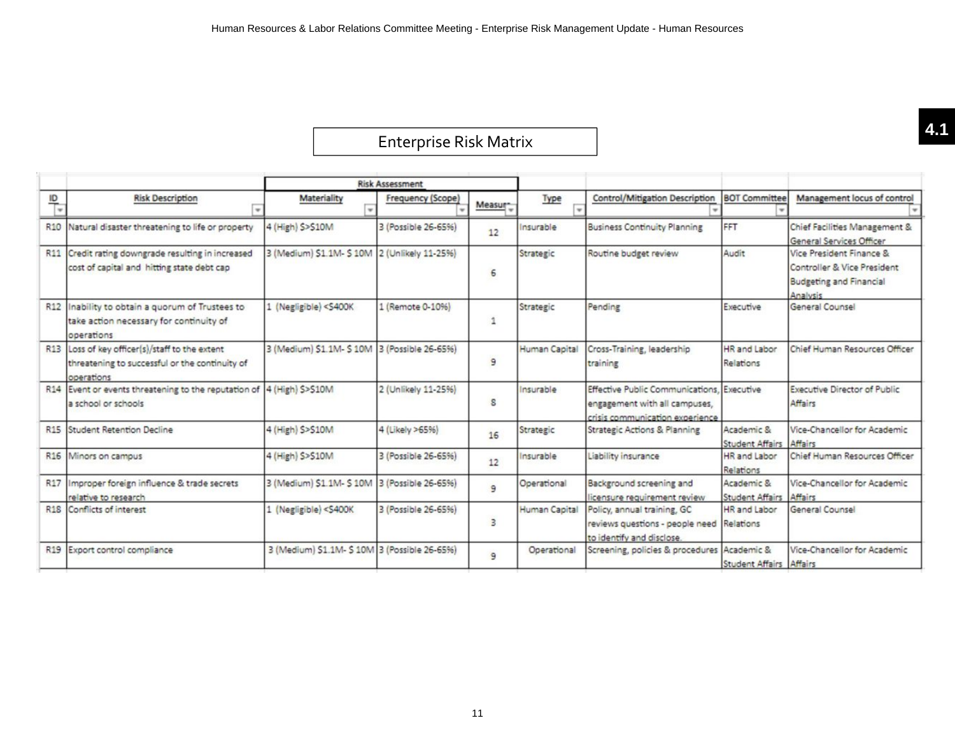# Enterprise Risk Matrix **4.1**

|                 |                                                                                                            |                                                                                                                                                                                                                                                                     | <b>Risk Assessment</b> |         |               |                                                                                                                |                                      |                                                                                                       |
|-----------------|------------------------------------------------------------------------------------------------------------|---------------------------------------------------------------------------------------------------------------------------------------------------------------------------------------------------------------------------------------------------------------------|------------------------|---------|---------------|----------------------------------------------------------------------------------------------------------------|--------------------------------------|-------------------------------------------------------------------------------------------------------|
| $\frac{10}{1}$  | <b>Risk Description</b>                                                                                    | Materiality                                                                                                                                                                                                                                                         | Frequency (Scope)      | Measur- | Type          | Control/Mitigation Description                                                                                 | <b>BOT Committee</b>                 | Management locus of control                                                                           |
| R <sub>10</sub> | Natural disaster threatening to life or property                                                           | 4 (High) \$>\$10M                                                                                                                                                                                                                                                   | 3 (Possible 26-65%)    | 12      | Insurable     | <b>Business Continuity Planning</b>                                                                            | FFT                                  | Chief Facilities Management &<br>General Services Officer                                             |
| R <sub>11</sub> | Credit rating downgrade resulting in increased<br>cost of capital and hitting state debt cap               | 3 (Medium) \$1.1M- \$10M 2 (Unlikely 11-25%)                                                                                                                                                                                                                        |                        | 6       | Strategic     | Routine budget review                                                                                          | Audit                                | Vice President Finance &<br>Controller & Vice President<br><b>Budgeting and Financial</b><br>Analysis |
| R12             | Inability to obtain a quorum of Trustees to<br>take action necessary for continuity of<br>operations       | 1 (Negligible) <s400k< td=""><td>1 (Remote 0-10%)</td><td>1</td><td>Strategic</td><td>Pending</td><td>Executive</td><td>General Counsel</td></s400k<>                                                                                                               | 1 (Remote 0-10%)       | 1       | Strategic     | Pending                                                                                                        | Executive                            | General Counsel                                                                                       |
| R <sub>13</sub> | Loss of key officer(s)/staff to the extent<br>threatening to successful or the continuity of<br>operations | 3 (Medium) \$1.1M- \$10M 3 (Possible 26-65%)                                                                                                                                                                                                                        |                        | 9       | Human Capital | Cross-Training, leadership<br>training                                                                         | HR and Labor<br>Relations            | Chief Human Resources Officer                                                                         |
|                 | R14 Event or events threatening to the reputation of  4 (High) \$>\$10M<br>a school or schools             |                                                                                                                                                                                                                                                                     | 2 (Unlikely 11-25%)    | s       | Insurable     | Effective Public Communications, Executive<br>engagement with all campuses,<br>crisis communication experience |                                      | Executive Director of Public<br>Affairs                                                               |
| R <sub>15</sub> | <b>Student Retention Decline</b>                                                                           | 4 (High) \$>\$10M                                                                                                                                                                                                                                                   | 4 (Likely >65%)        | 16      | Strategic     | <b>Strategic Actions &amp; Planning</b>                                                                        | Academic &<br><b>Student Affairs</b> | Vice-Chancellor for Academic<br>Affairs                                                               |
|                 | R16 Minors on campus                                                                                       | 4 (High) \$>\$10M                                                                                                                                                                                                                                                   | 3 (Possible 26-65%)    | 12      | Insurable     | Liability insurance                                                                                            | HR and Labor<br>Relations            | Chief Human Resources Officer                                                                         |
| R17             | Improper foreign influence & trade secrets<br>relative to research                                         | 3 (Medium) \$1.1M- \$10M 3 (Possible 26-65%)                                                                                                                                                                                                                        |                        | 9       | Operational   | Background screening and<br>licensure requirement review                                                       | Academic &<br><b>Student Affairs</b> | Vice-Chancellor for Academic<br>Affairs                                                               |
|                 | R <sub>18</sub> Conflicts of interest                                                                      | 1 (Negligible) <s400k< td=""><td>3 (Possible 26-65%)</td><td>3</td><td>Human Capital</td><td>Policy, annual training, GC<br/>reviews questions - people need<br/>to identify and disclose.</td><td>HR and Labor<br/>Relations</td><td>General Counsel</td></s400k<> | 3 (Possible 26-65%)    | 3       | Human Capital | Policy, annual training, GC<br>reviews questions - people need<br>to identify and disclose.                    | HR and Labor<br>Relations            | General Counsel                                                                                       |
|                 | R19 Export control compliance                                                                              | 3 (Medium) S1.1M- \$ 10M 3 (Possible 26-65%)                                                                                                                                                                                                                        |                        | 9       | Operational   | Screening, policies & procedures Academic &                                                                    | <b>Student Affairs Affairs</b>       | Vice-Chancellor for Academic                                                                          |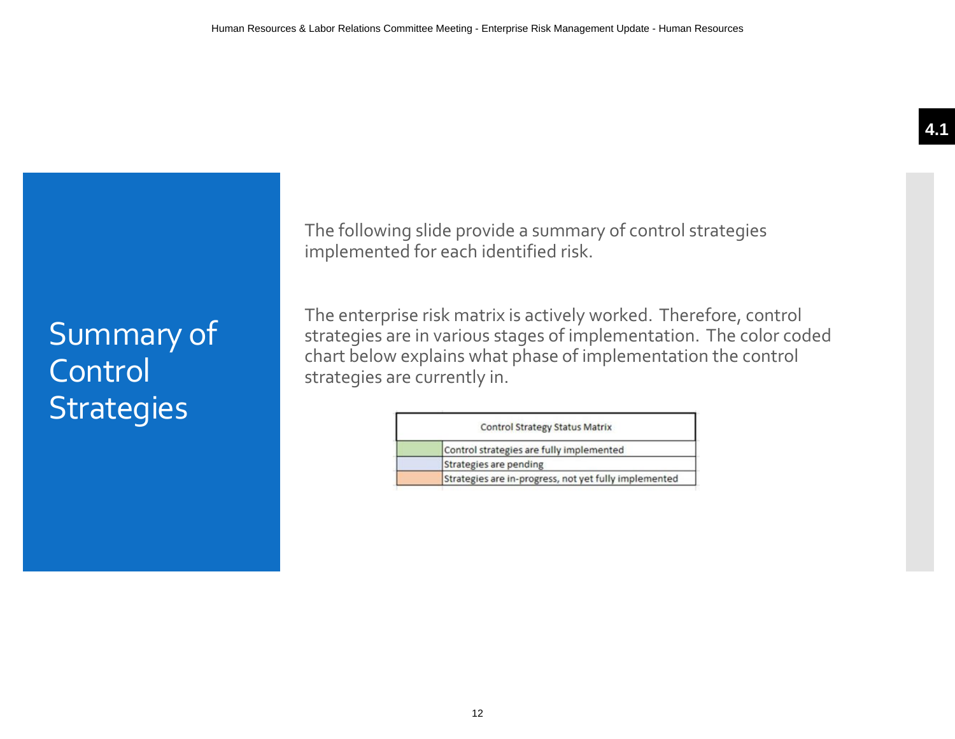# Summary of **Control Strategies**

The following slide provide a summary of control strategies implemented for each identified risk.

The enterprise risk matrix is actively worked. Therefore, control strategies are in various stages of implementation. The color coded chart below explains what phase of implementation the control strategies are currently in.

| <b>Control Strategy Status Matrix</b>                 |
|-------------------------------------------------------|
| Control strategies are fully implemented              |
| Strategies are pending                                |
| Strategies are in-progress, not yet fully implemented |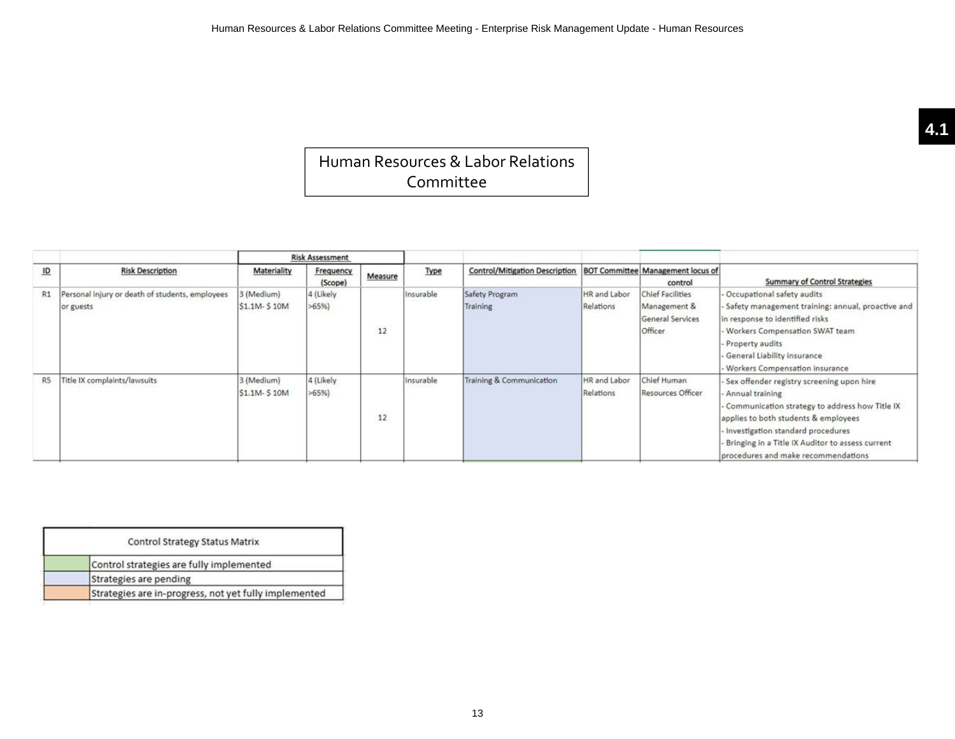## Human Resources & Labor Relations Committee

|    |                                                              |                             | <b>Risk Assessment</b> |         |           |                                       |                           |                                                                               |                                                                                                                                                                                                                                                                                            |
|----|--------------------------------------------------------------|-----------------------------|------------------------|---------|-----------|---------------------------------------|---------------------------|-------------------------------------------------------------------------------|--------------------------------------------------------------------------------------------------------------------------------------------------------------------------------------------------------------------------------------------------------------------------------------------|
| ID | <b>Risk Description</b>                                      | Materiality                 | Frequency<br>(Scope)   | Measure | Type      | <b>Control/Mitigation Description</b> |                           | <b>BOT Committee Management locus of</b><br>control                           | <b>Summary of Control Strategies</b>                                                                                                                                                                                                                                                       |
| R1 | Personal injury or death of students, employees<br>or guests | 3 (Medium)<br>\$1.1M- \$10M | 4 (Likely<br>>65%      | 12      | Insurable | Safety Program<br>Training            | HR and Labor<br>Relations | <b>Chief Facilities</b><br>Management &<br><b>General Services</b><br>Officer | - Occupational safety audits<br>- Safety management training: annual, proactive and<br>in response to identified risks<br>Workers Compensation SWAT team<br>Property audits<br>General Liability insurance<br>Workers Compensation insurance                                               |
| R5 | Title IX complaints/lawsuits                                 | 3 (Medium)<br>\$1.1M- \$10M | 4 (Likely<br>>65%      | 12      | Insurable | Training & Communication              | HR and Labor<br>Relations | Chief Human<br><b>Resources Officer</b>                                       | - Sex offender registry screening upon hire<br>Annual training<br>Communication strategy to address how Title IX<br>applies to both students & employees<br>Investigation standard procedures<br>- Bringing in a Title IX Auditor to assess current<br>procedures and make recommendations |

| <b>Control Strategy Status Matrix</b>                 |
|-------------------------------------------------------|
| Control strategies are fully implemented              |
| Strategies are pending                                |
| Strategies are in-progress, not yet fully implemented |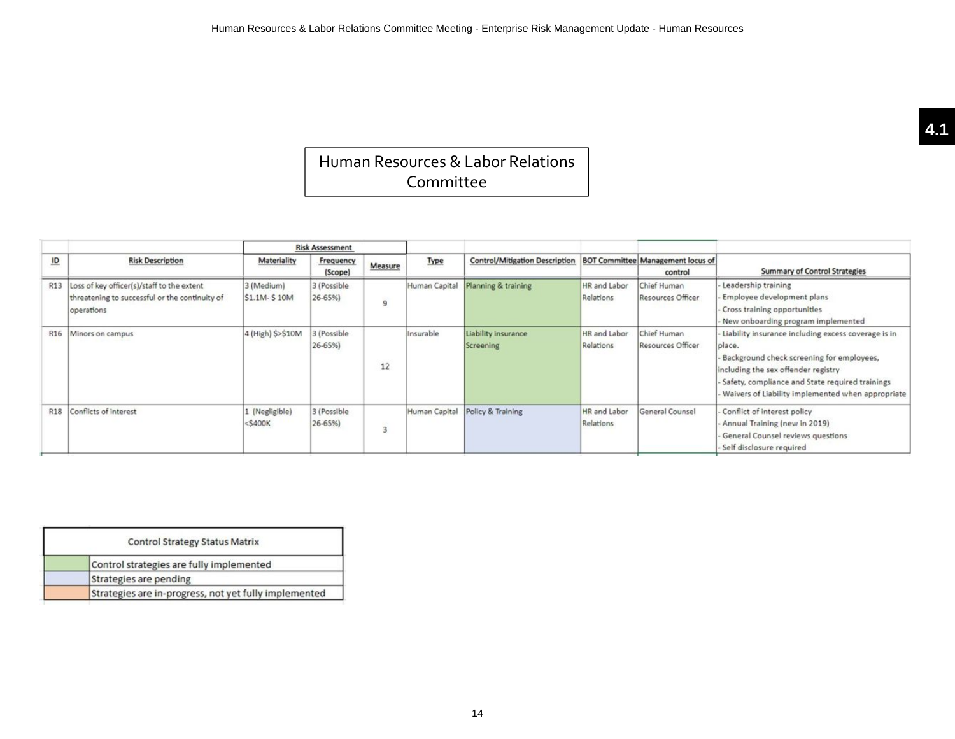## Human Resources & Labor Relations Committee

|                 |                                                                                                            | <b>Risk Assessment</b>      |                           |         |               |                                       |                                  |                                                     |                                                                                                                                                                                                                                                           |
|-----------------|------------------------------------------------------------------------------------------------------------|-----------------------------|---------------------------|---------|---------------|---------------------------------------|----------------------------------|-----------------------------------------------------|-----------------------------------------------------------------------------------------------------------------------------------------------------------------------------------------------------------------------------------------------------------|
| $\overline{10}$ | <b>Risk Description</b>                                                                                    | Materiality                 | Frequency<br>(Scope)      | Measure | Type          | <b>Control/Mitigation Description</b> |                                  | <b>BOT Committee Management locus of</b><br>control | <b>Summary of Control Strategies</b>                                                                                                                                                                                                                      |
| R13             | Loss of key officer(s)/staff to the extent<br>threatening to successful or the continuity of<br>operations | 3 (Medium)<br>\$1.1M-\$10M  | 3 (Possible<br>26-65%)    | 9       | Human Capital | Planning & training                   | HR and Labor<br>Relations        | Chief Human<br><b>Resources Officer</b>             | Leadership training<br>Employee development plans<br>Cross training opportunities<br>New onboarding program implemented                                                                                                                                   |
| R <sub>16</sub> | Minors on campus                                                                                           | 4 (High) \$>\$10M           | 3 (Possible<br>$26 - 65%$ | 12      | Insurable     | Liability insurance<br>Screening      | HR and Labor<br>Relations        | Chief Human<br><b>Resources Officer</b>             | Liability insurance including excess coverage is in<br>place.<br>Background check screening for employees,<br>including the sex offender registry<br>Safety, compliance and State required trainings<br>Waivers of Liability implemented when appropriate |
| <b>R18</b>      | Conflicts of interest                                                                                      | 1 (Negligible)<br>$<$ S400K | 3 (Possible<br>$26 - 65%$ |         | Human Capital | Policy & Training                     | <b>HR</b> and Labor<br>Relations | General Counsel                                     | Conflict of interest policy<br>Annual Training (new in 2019)<br>General Counsel reviews questions<br>Self disclosure required                                                                                                                             |

| <b>Control Strategy Status Matrix</b>                 |
|-------------------------------------------------------|
| Control strategies are fully implemented              |
| Strategies are pending                                |
| Strategies are in-progress, not yet fully implemented |